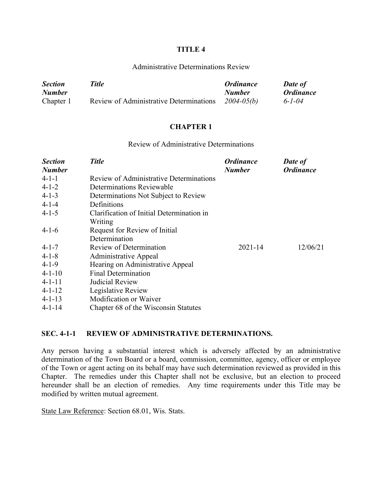#### **TITLE 4**

#### Administrative Determinations Review

| <b>Section</b> | Title                                   | <b>Ordinance</b> | <b>Date of</b>          |
|----------------|-----------------------------------------|------------------|-------------------------|
| <b>Number</b>  |                                         | <b>Number</b>    | <i><b>Ordinance</b></i> |
| Chapter 1      | Review of Administrative Determinations | $2004 - 05(b)$   | $6 - 1 - 04$            |

#### **CHAPTER 1**

#### Review of Administrative Determinations

| <b>Section</b> | <b>Title</b>                              | <b>Ordinance</b> | Date of          |
|----------------|-------------------------------------------|------------------|------------------|
| <b>Number</b>  |                                           | <b>Number</b>    | <b>Ordinance</b> |
| $4-1-1$        | Review of Administrative Determinations   |                  |                  |
| $4 - 1 - 2$    | Determinations Reviewable                 |                  |                  |
| $4 - 1 - 3$    | Determinations Not Subject to Review      |                  |                  |
| $4 - 1 - 4$    | Definitions                               |                  |                  |
| $4 - 1 - 5$    | Clarification of Initial Determination in |                  |                  |
|                | Writing                                   |                  |                  |
| $4-1-6$        | Request for Review of Initial             |                  |                  |
|                | Determination                             |                  |                  |
| $4 - 1 - 7$    | Review of Determination                   | $2021 - 14$      | 12/06/21         |
| $4 - 1 - 8$    | <b>Administrative Appeal</b>              |                  |                  |
| $4 - 1 - 9$    | Hearing on Administrative Appeal          |                  |                  |
| $4 - 1 - 10$   | <b>Final Determination</b>                |                  |                  |
| $4 - 1 - 11$   | Judicial Review                           |                  |                  |
| $4 - 1 - 12$   | Legislative Review                        |                  |                  |
| $4 - 1 - 13$   | Modification or Waiver                    |                  |                  |
| $4 - 1 - 14$   | Chapter 68 of the Wisconsin Statutes      |                  |                  |

### **SEC. 4-1-1 REVIEW OF ADMINISTRATIVE DETERMINATIONS.**

Any person having a substantial interest which is adversely affected by an administrative determination of the Town Board or a board, commission, committee, agency, officer or employee of the Town or agent acting on its behalf may have such determination reviewed as provided in this Chapter. The remedies under this Chapter shall not be exclusive, but an election to proceed hereunder shall be an election of remedies. Any time requirements under this Title may be modified by written mutual agreement.

State Law Reference: Section 68.01, Wis. Stats.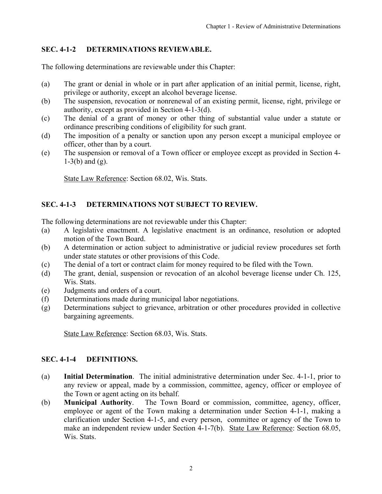# <span id="page-1-0"></span>**SEC. 4-1-2 DETERMINATIONS REVIEWABLE.**

The following determinations are reviewable under this Chapter:

- (a) The grant or denial in whole or in part after application of an initial permit, license, right, privilege or authority, except an alcohol beverage license.
- (b) The suspension, revocation or nonrenewal of an existing permit, license, right, privilege or authority, except as provided in Section 4-1-3(d).
- (c) The denial of a grant of money or other thing of substantial value under a statute or ordinance prescribing conditions of eligibility for such grant.
- (d) The imposition of a penalty or sanction upon any person except a municipal employee or officer, other than by a court.
- (e) The suspension or removal of a Town officer or employee except as provided in Section 4- 1-3(b) and (g).

State Law Reference: Section 68.02, Wis. Stats.

# **SEC. 4-1-3 DETERMINATIONS NOT SUBJECT TO REVIEW.**

The following determinations are not reviewable under this Chapter:

- (a) A legislative enactment. A legislative enactment is an ordinance, resolution or adopted motion of the Town Board.
- (b) A determination or action subject to administrative or judicial review procedures set forth under state statutes or other provisions of this Code.
- (c) The denial of a tort or contract claim for money required to be filed with the Town.
- (d) The grant, denial, suspension or revocation of an alcohol beverage license under Ch. 125, Wis. Stats.
- (e) Judgments and orders of a court.
- (f) Determinations made during municipal labor negotiations.
- (g) Determinations subject to grievance, arbitration or other procedures provided in collective bargaining agreements.

State Law Reference: Section 68.03, Wis. Stats.

# **SEC. 4-1-4 DEFINITIONS.**

- (a) **Initial Determination**. The initial administrative determination under Sec. 4-1-1, prior to any review or appeal, made by a commission, committee, agency, officer or employee of the Town or agent acting on its behalf.
- (b) **Municipal Authority**. The Town Board or commission, committee, agency, officer, employee or agent of the Town making a determination under Section 4-1-1, making a clarification under Section 4-1-5, and every person, committee or agency of the Town to make an independent review under Section 4-1-7(b). State Law Reference: Section 68.05, Wis. Stats.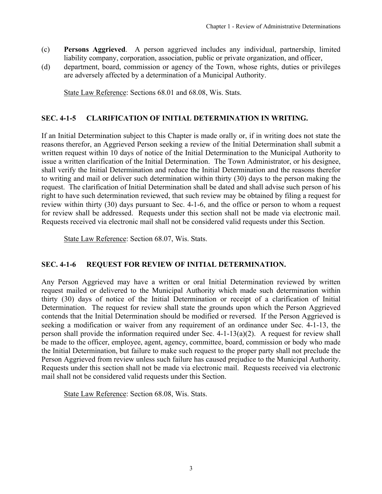- <span id="page-2-0"></span>(c) **Persons Aggrieved**. A person aggrieved includes any individual, partnership, limited liability company, corporation, association, public or private organization, and officer,
- (d) department, board, commission or agency of the Town, whose rights, duties or privileges are adversely affected by a determination of a Municipal Authority.

State Law Reference: Sections 68.01 and 68.08, Wis. Stats.

# **SEC. 4-1-5 CLARIFICATION OF INITIAL DETERMINATION IN WRITING.**

If an Initial Determination subject to this Chapter is made orally or, if in writing does not state the reasons therefor, an Aggrieved Person seeking a review of the Initial Determination shall submit a written request within 10 days of notice of the Initial Determination to the Municipal Authority to issue a written clarification of the Initial Determination. The Town Administrator, or his designee, shall verify the Initial Determination and reduce the Initial Determination and the reasons therefor to writing and mail or deliver such determination within thirty (30) days to the person making the request. The clarification of Initial Determination shall be dated and shall advise such person of his right to have such determination reviewed, that such review may be obtained by filing a request for review within thirty (30) days pursuant to Sec. 4-1-6, and the office or person to whom a request for review shall be addressed. Requests under this section shall not be made via electronic mail. Requests received via electronic mail shall not be considered valid requests under this Section.

State Law Reference: Section 68.07, Wis. Stats.

## **SEC. 4-1-6 REQUEST FOR REVIEW OF INITIAL DETERMINATION.**

Any Person Aggrieved may have a written or oral Initial Determination reviewed by written request mailed or delivered to the Municipal Authority which made such determination within thirty (30) days of notice of the Initial Determination or receipt of a clarification of Initial Determination. The request for review shall state the grounds upon which the Person Aggrieved contends that the Initial Determination should be modified or reversed. If the Person Aggrieved is seeking a modification or waiver from any requirement of an ordinance under Sec. 4-1-13, the person shall provide the information required under Sec. 4-1-13(a)(2). A request for review shall be made to the officer, employee, agent, agency, committee, board, commission or body who made the Initial Determination, but failure to make such request to the proper party shall not preclude the Person Aggrieved from review unless such failure has caused prejudice to the Municipal Authority. Requests under this section shall not be made via electronic mail. Requests received via electronic mail shall not be considered valid requests under this Section.

State Law Reference: Section 68.08, Wis. Stats.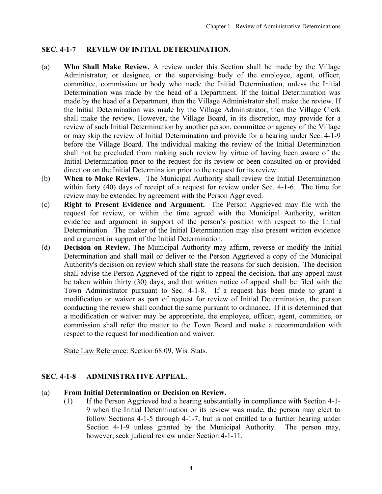# <span id="page-3-0"></span>**SEC. 4-1-7 REVIEW OF INITIAL DETERMINATION.**

- (a) **Who Shall Make Review.** A review under this Section shall be made by the Village Administrator, or designee, or the supervising body of the employee, agent, officer, committee, commission or body who made the Initial Determination, unless the Initial Determination was made by the head of a Department. If the Initial Determination was made by the head of a Department, then the Village Administrator shall make the review. If the Initial Determination was made by the Village Administrator, then the Village Clerk shall make the review. However, the Village Board, in its discretion, may provide for a review of such Initial Determination by another person, committee or agency of the Village or may skip the review of Initial Determination and provide for a hearing under Sec. 4-1-9 before the Village Board. The individual making the review of the Initial Determination shall not be precluded from making such review by virtue of having been aware of the Initial Determination prior to the request for its review or been consulted on or provided direction on the Initial Determination prior to the request for its review.
- (b) **When to Make Review.** The Municipal Authority shall review the Initial Determination within forty (40) days of receipt of a request for review under Sec. 4-1-6. The time for review may be extended by agreement with the Person Aggrieved.
- (c) **Right to Present Evidence and Argument.** The Person Aggrieved may file with the request for review, or within the time agreed with the Municipal Authority, written evidence and argument in support of the person's position with respect to the Initial Determination. The maker of the Initial Determination may also present written evidence and argument in support of the Initial Determination.
- (d) **Decision on Review.** The Municipal Authority may affirm, reverse or modify the Initial Determination and shall mail or deliver to the Person Aggrieved a copy of the Municipal Authority's decision on review which shall state the reasons for such decision. The decision shall advise the Person Aggrieved of the right to appeal the decision, that any appeal must be taken within thirty (30) days, and that written notice of appeal shall be filed with the Town Administrator pursuant to Sec. 4-1-8. If a request has been made to grant a modification or waiver as part of request for review of Initial Determination, the person conducting the review shall conduct the same pursuant to ordinance. If it is determined that a modification or waiver may be appropriate, the employee, officer, agent, committee, or commission shall refer the matter to the Town Board and make a recommendation with respect to the request for modification and waiver.

State Law Reference: Section 68.09, Wis. Stats.

## **SEC. 4-1-8 ADMINISTRATIVE APPEAL.**

## (a) **From Initial Determination or Decision on Review.**

(1) If the Person Aggrieved had a hearing substantially in compliance with Section 4-1- 9 when the Initial Determination or its review was made, the person may elect to follow Sections 4-1-5 through 4-1-7, but is not entitled to a further hearing under Section 4-1-9 unless granted by the Municipal Authority. The person may, however, seek judicial review under Section 4-1-11.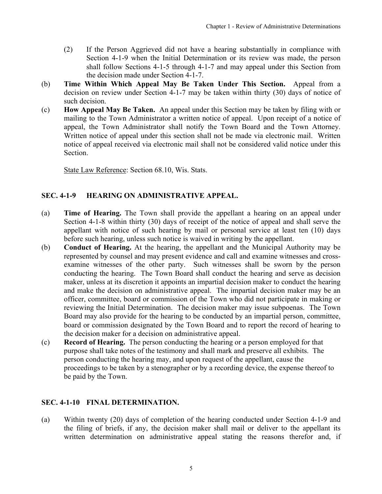- <span id="page-4-0"></span>(2) If the Person Aggrieved did not have a hearing substantially in compliance with Section 4-1-9 when the Initial Determination or its review was made, the person shall follow Sections 4-1-5 through 4-1-7 and may appeal under this Section from the decision made under Section 4-1-7.
- (b) **Time Within Which Appeal May Be Taken Under This Section.** Appeal from a decision on review under Section 4-1-7 may be taken within thirty (30) days of notice of such decision.
- (c) **How Appeal May Be Taken.** An appeal under this Section may be taken by filing with or mailing to the Town Administrator a written notice of appeal. Upon receipt of a notice of appeal, the Town Administrator shall notify the Town Board and the Town Attorney. Written notice of appeal under this section shall not be made via electronic mail. Written notice of appeal received via electronic mail shall not be considered valid notice under this Section.

State Law Reference: Section 68.10, Wis. Stats.

# **SEC. 4-1-9 HEARING ON ADMINISTRATIVE APPEAL.**

- (a) **Time of Hearing.** The Town shall provide the appellant a hearing on an appeal under Section 4-1-8 within thirty (30) days of receipt of the notice of appeal and shall serve the appellant with notice of such hearing by mail or personal service at least ten (10) days before such hearing, unless such notice is waived in writing by the appellant.
- (b) **Conduct of Hearing.** At the hearing, the appellant and the Municipal Authority may be represented by counsel and may present evidence and call and examine witnesses and crossexamine witnesses of the other party. Such witnesses shall be sworn by the person conducting the hearing. The Town Board shall conduct the hearing and serve as decision maker, unless at its discretion it appoints an impartial decision maker to conduct the hearing and make the decision on administrative appeal. The impartial decision maker may be an officer, committee, board or commission of the Town who did not participate in making or reviewing the Initial Determination. The decision maker may issue subpoenas. The Town Board may also provide for the hearing to be conducted by an impartial person, committee, board or commission designated by the Town Board and to report the record of hearing to the decision maker for a decision on administrative appeal.
- (c) **Record of Hearing.** The person conducting the hearing or a person employed for that purpose shall take notes of the testimony and shall mark and preserve all exhibits. The person conducting the hearing may, and upon request of the appellant, cause the proceedings to be taken by a stenographer or by a recording device, the expense thereof to be paid by the Town.

## **SEC. 4-1-10 FINAL DETERMINATION.**

(a) Within twenty (20) days of completion of the hearing conducted under Section 4-1-9 and the filing of briefs, if any, the decision maker shall mail or deliver to the appellant its written determination on administrative appeal stating the reasons therefor and, if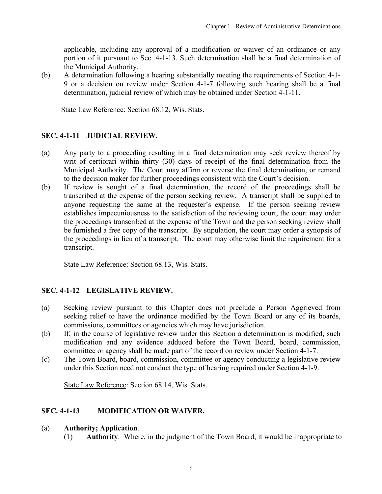<span id="page-5-0"></span>applicable, including any approval of a modification or waiver of an ordinance or any portion of it pursuant to Sec. 4-1-13. Such determination shall be a final determination of the Municipal Authority.

(b) A determination following a hearing substantially meeting the requirements of Section 4-1- 9 or a decision on review under Section 4-1-7 following such hearing shall be a final determination, judicial review of which may be obtained under Section 4-1-11.

State Law Reference: Section 68.12, Wis. Stats.

## **SEC. 4-1-11 JUDICIAL REVIEW.**

- (a) Any party to a proceeding resulting in a final determination may seek review thereof by writ of certiorari within thirty (30) days of receipt of the final determination from the Municipal Authority. The Court may affirm or reverse the final determination, or remand to the decision maker for further proceedings consistent with the Court's decision.
- (b) If review is sought of a final determination, the record of the proceedings shall be transcribed at the expense of the person seeking review. A transcript shall be supplied to anyone requesting the same at the requester's expense. If the person seeking review establishes impecuniousness to the satisfaction of the reviewing court, the court may order the proceedings transcribed at the expense of the Town and the person seeking review shall be furnished a free copy of the transcript. By stipulation, the court may order a synopsis of the proceedings in lieu of a transcript. The court may otherwise limit the requirement for a transcript.

State Law Reference: Section 68.13, Wis. Stats.

### **SEC. 4-1-12 LEGISLATIVE REVIEW.**

- (a) Seeking review pursuant to this Chapter does not preclude a Person Aggrieved from seeking relief to have the ordinance modified by the Town Board or any of its boards, commissions, committees or agencies which may have jurisdiction.
- (b) If, in the course of legislative review under this Section a determination is modified, such modification and any evidence adduced before the Town Board, board, commission, committee or agency shall be made part of the record on review under Section 4-1-7.
- (c) The Town Board, board, commission, committee or agency conducting a legislative review under this Section need not conduct the type of hearing required under Section 4-1-9.

State Law Reference: Section 68.14, Wis. Stats.

### **SEC. 4-1-13 MODIFICATION OR WAIVER.**

#### (a) **Authority; Application**.

(1) **Authority**. Where, in the judgment of the Town Board, it would be inappropriate to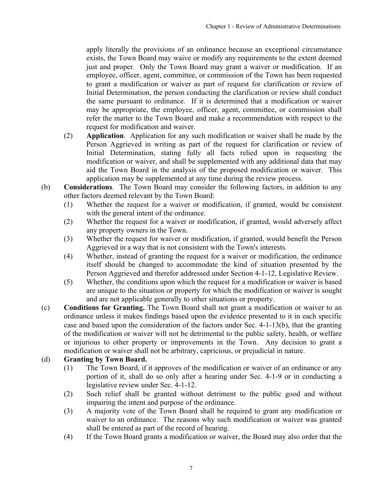apply literally the provisions of an ordinance because an exceptional circumstance exists, the Town Board may waive or modify any requirements to the extent deemed just and proper. Only the Town Board may grant a waiver or modification. If an employee, officer, agent, committee, or commission of the Town has been requested to grant a modification or waiver as part of request for clarification or review of Initial Determination, the person conducting the clarification or review shall conduct the same pursuant to ordinance. If it is determined that a modification or waiver may be appropriate, the employee, officer, agent, committee, or commission shall refer the matter to the Town Board and make a recommendation with respect to the request for modification and waiver.

- (2) **Application**. Application for any such modification or waiver shall be made by the Person Aggrieved in writing as part of the request for clarification or review of Initial Determination, stating fully all facts relied upon in requesting the modification or waiver, and shall be supplemented with any additional data that may aid the Town Board in the analysis of the proposed modification or waiver. This application may be supplemented at any time during the review process.
- (b) **Considerations**. The Town Board may consider the following factors, in addition to any other factors deemed relevant by the Town Board:
	- (1) Whether the request for a waiver or modification, if granted, would be consistent with the general intent of the ordinance.
	- (2) Whether the request for a waiver or modification, if granted, would adversely affect any property owners in the Town.
	- (3) Whether the request for waiver or modification, if granted, would benefit the Person Aggrieved in a way that is not consistent with the Town's interests.
	- (4) Whether, instead of granting the request for a waiver or modification, the ordinance itself should be changed to accommodate the kind of situation presented by the Person Aggrieved and therefor addressed under Section 4-1-12, Legislative Review.
	- (5) Whether, the conditions upon which the request for a modification or waiver is based are unique to the situation or property for which the modification or waiver is sought and are not applicable generally to other situations or property.
- (c) **Conditions for Granting.** The Town Board shall not grant a modification or waiver to an ordinance unless it makes findings based upon the evidence presented to it in each specific case and based upon the consideration of the factors under Sec. 4-1-13(b), that the granting of the modification or waiver will not be detrimental to the public safety, health, or welfare or injurious to other property or improvements in the Town. Any decision to grant a modification or waiver shall not be arbitrary, capricious, or prejudicial in nature.

# (d) **Granting by Town Board.**

- (1) The Town Board, if it approves of the modification or waiver of an ordinance or any portion of it, shall do so only after a hearing under Sec. 4-1-9 or in conducting a legislative review under Sec. 4-1-12.
- (2) Such relief shall be granted without detriment to the public good and without impairing the intent and purpose of the ordinance.
- (3) A majority vote of the Town Board shall be required to grant any modification or waiver to an ordinance. The reasons why such modification or waiver was granted shall be entered as part of the record of hearing.
- (4) If the Town Board grants a modification or waiver, the Board may also order that the